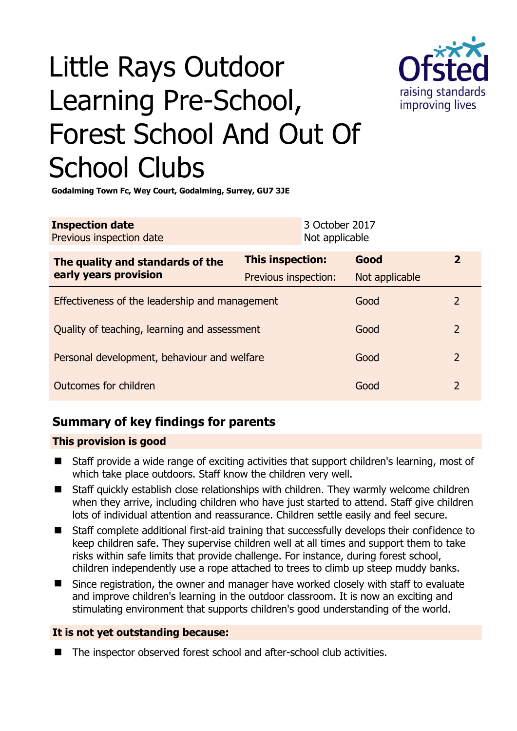

# Little Rays Outdoor Learning Pre-School, Forest School And Out Of School Clubs

**Godalming Town Fc, Wey Court, Godalming, Surrey, GU7 3JE** 

| <b>Inspection date</b><br>Previous inspection date        | 3 October 2017<br>Not applicable |                |                |
|-----------------------------------------------------------|----------------------------------|----------------|----------------|
| The quality and standards of the<br>early years provision | <b>This inspection:</b>          | Good           | 2              |
|                                                           | Previous inspection:             | Not applicable |                |
| Effectiveness of the leadership and management            |                                  | Good           | $\mathcal{P}$  |
| Quality of teaching, learning and assessment              |                                  | Good           | $\overline{2}$ |
| Personal development, behaviour and welfare               |                                  | Good           | $\overline{2}$ |
| Outcomes for children                                     |                                  | Good           | 2              |

## **Summary of key findings for parents**

## **This provision is good**

- Staff provide a wide range of exciting activities that support children's learning, most of which take place outdoors. Staff know the children very well.
- Staff quickly establish close relationships with children. They warmly welcome children when they arrive, including children who have just started to attend. Staff give children lots of individual attention and reassurance. Children settle easily and feel secure.
- Staff complete additional first-aid training that successfully develops their confidence to keep children safe. They supervise children well at all times and support them to take risks within safe limits that provide challenge. For instance, during forest school, children independently use a rope attached to trees to climb up steep muddy banks.
- Since registration, the owner and manager have worked closely with staff to evaluate and improve children's learning in the outdoor classroom. It is now an exciting and stimulating environment that supports children's good understanding of the world.

## **It is not yet outstanding because:**

■ The inspector observed forest school and after-school club activities.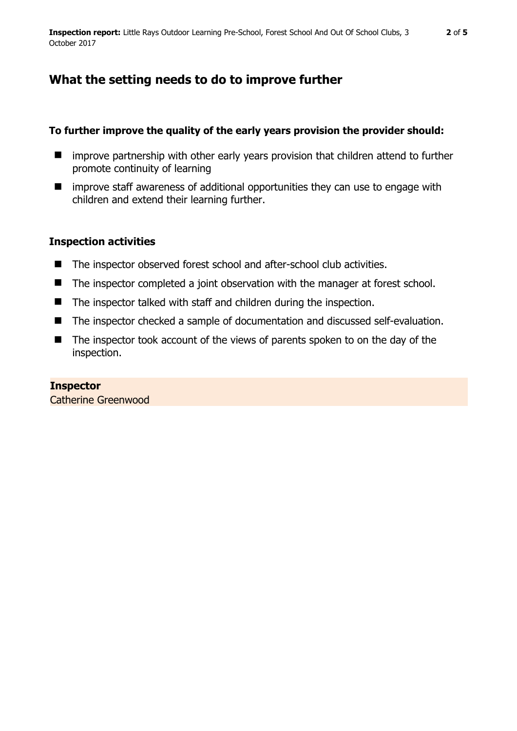# **What the setting needs to do to improve further**

## **To further improve the quality of the early years provision the provider should:**

- **I** improve partnership with other early years provision that children attend to further promote continuity of learning
- $\blacksquare$  improve staff awareness of additional opportunities they can use to engage with children and extend their learning further.

## **Inspection activities**

- The inspector observed forest school and after-school club activities.
- The inspector completed a joint observation with the manager at forest school.
- The inspector talked with staff and children during the inspection.
- The inspector checked a sample of documentation and discussed self-evaluation.
- The inspector took account of the views of parents spoken to on the day of the inspection.

# **Inspector**

Catherine Greenwood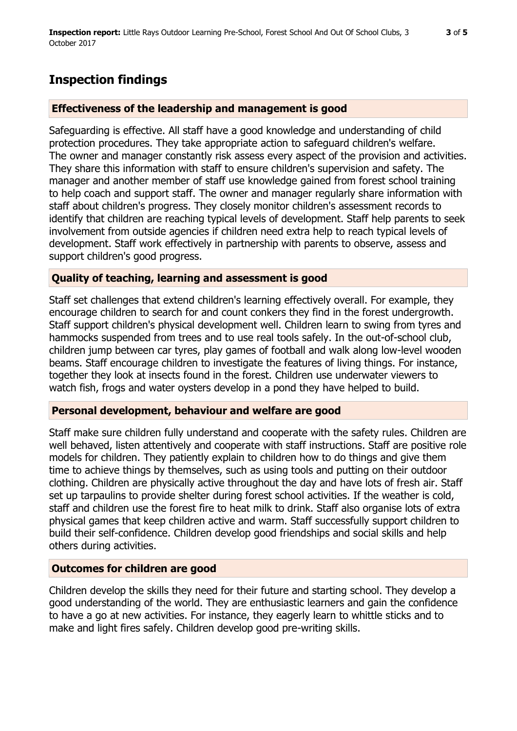# **Inspection findings**

## **Effectiveness of the leadership and management is good**

Safeguarding is effective. All staff have a good knowledge and understanding of child protection procedures. They take appropriate action to safeguard children's welfare. The owner and manager constantly risk assess every aspect of the provision and activities. They share this information with staff to ensure children's supervision and safety. The manager and another member of staff use knowledge gained from forest school training to help coach and support staff. The owner and manager regularly share information with staff about children's progress. They closely monitor children's assessment records to identify that children are reaching typical levels of development. Staff help parents to seek involvement from outside agencies if children need extra help to reach typical levels of development. Staff work effectively in partnership with parents to observe, assess and support children's good progress.

## **Quality of teaching, learning and assessment is good**

Staff set challenges that extend children's learning effectively overall. For example, they encourage children to search for and count conkers they find in the forest undergrowth. Staff support children's physical development well. Children learn to swing from tyres and hammocks suspended from trees and to use real tools safely. In the out-of-school club, children jump between car tyres, play games of football and walk along low-level wooden beams. Staff encourage children to investigate the features of living things. For instance, together they look at insects found in the forest. Children use underwater viewers to watch fish, frogs and water oysters develop in a pond they have helped to build.

### **Personal development, behaviour and welfare are good**

Staff make sure children fully understand and cooperate with the safety rules. Children are well behaved, listen attentively and cooperate with staff instructions. Staff are positive role models for children. They patiently explain to children how to do things and give them time to achieve things by themselves, such as using tools and putting on their outdoor clothing. Children are physically active throughout the day and have lots of fresh air. Staff set up tarpaulins to provide shelter during forest school activities. If the weather is cold, staff and children use the forest fire to heat milk to drink. Staff also organise lots of extra physical games that keep children active and warm. Staff successfully support children to build their self-confidence. Children develop good friendships and social skills and help others during activities.

### **Outcomes for children are good**

Children develop the skills they need for their future and starting school. They develop a good understanding of the world. They are enthusiastic learners and gain the confidence to have a go at new activities. For instance, they eagerly learn to whittle sticks and to make and light fires safely. Children develop good pre-writing skills.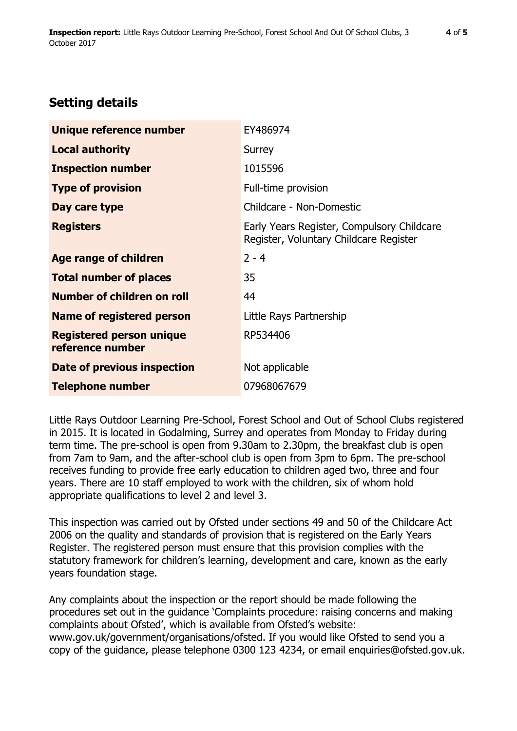# **Setting details**

| Unique reference number                             | EY486974                                                                             |  |
|-----------------------------------------------------|--------------------------------------------------------------------------------------|--|
| <b>Local authority</b>                              | Surrey                                                                               |  |
| <b>Inspection number</b>                            | 1015596                                                                              |  |
| <b>Type of provision</b>                            | Full-time provision                                                                  |  |
| Day care type                                       | Childcare - Non-Domestic                                                             |  |
| <b>Registers</b>                                    | Early Years Register, Compulsory Childcare<br>Register, Voluntary Childcare Register |  |
| <b>Age range of children</b>                        | $2 - 4$                                                                              |  |
| <b>Total number of places</b>                       | 35                                                                                   |  |
| Number of children on roll                          | 44                                                                                   |  |
| <b>Name of registered person</b>                    | Little Rays Partnership                                                              |  |
| <b>Registered person unique</b><br>reference number | RP534406                                                                             |  |
| Date of previous inspection                         | Not applicable                                                                       |  |
| <b>Telephone number</b>                             | 07968067679                                                                          |  |

Little Rays Outdoor Learning Pre-School, Forest School and Out of School Clubs registered in 2015. It is located in Godalming, Surrey and operates from Monday to Friday during term time. The pre-school is open from 9.30am to 2.30pm, the breakfast club is open from 7am to 9am, and the after-school club is open from 3pm to 6pm. The pre-school receives funding to provide free early education to children aged two, three and four years. There are 10 staff employed to work with the children, six of whom hold appropriate qualifications to level 2 and level 3.

This inspection was carried out by Ofsted under sections 49 and 50 of the Childcare Act 2006 on the quality and standards of provision that is registered on the Early Years Register. The registered person must ensure that this provision complies with the statutory framework for children's learning, development and care, known as the early years foundation stage.

Any complaints about the inspection or the report should be made following the procedures set out in the guidance 'Complaints procedure: raising concerns and making complaints about Ofsted', which is available from Ofsted's website: www.gov.uk/government/organisations/ofsted. If you would like Ofsted to send you a copy of the guidance, please telephone 0300 123 4234, or email enquiries@ofsted.gov.uk.